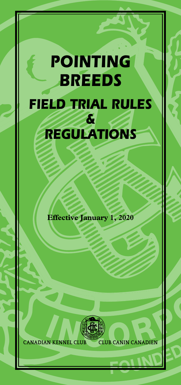# *POINTING BREEDS FIELD TRIAL RULES & REGULATIONS*

**Effective January 1, 2020**



**CANADIAN KENNEL CLUB CLUB CANIN CANADIEN**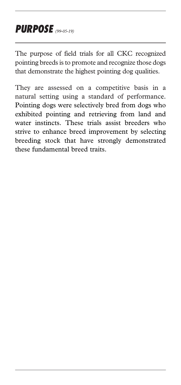### *PURPOSE (99-05-19)*

The purpose of field trials for all CKC recognized pointing breeds is to promote and recognize those dogs that demonstrate the highest pointing dog qualities.

They are assessed on a competitive basis in a natural setting using a standard of performance. Pointing dogs were selectively bred from dogs who exhibited pointing and retrieving from land and water instincts. These trials assist breeders who strive to enhance breed improvement by selecting breeding stock that have strongly demonstrated these fundamental breed traits.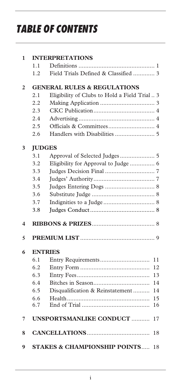## *TABLE OF CONTENTS*

| 1              |     | <b>INTERPRETATIONS</b>                        |
|----------------|-----|-----------------------------------------------|
|                | 1.1 |                                               |
|                | 1.2 | Field Trials Defined & Classified  3          |
| $\mathfrak{p}$ |     | <b>GENERAL RULES &amp; REGULATIONS</b>        |
|                | 2.1 | Eligibility of Clubs to Hold a Field Trial  3 |
|                | 2.2 |                                               |
|                | 2.3 |                                               |
|                | 2.4 |                                               |
|                | 2.5 | Officials & Committees 4                      |
|                | 2.6 |                                               |
| 3              |     | <b>JUDGES</b>                                 |
|                | 3.1 |                                               |
|                | 3.2 | Eligibility for Approval to Judge  6          |
|                | 3.3 |                                               |
|                | 3.4 |                                               |
|                | 3.5 |                                               |
|                | 3.6 |                                               |
|                | 3.7 |                                               |
|                | 3.8 |                                               |
| 4              |     |                                               |
| 5              |     |                                               |
| 6              |     | <b>ENTRIES</b>                                |
|                | 6.1 | 11                                            |
|                | 6.2 | 12                                            |
|                | 6.3 | 13                                            |
|                | 6.4 | 14                                            |
|                | 6.5 | Disqualification & Reinstatement<br>14        |
|                | 6.6 | 15                                            |
|                | 6.7 | 16                                            |
| 7              |     | <b>UNSPORTSMANLIKE CONDUCT </b><br>17         |
| 8              |     | 18                                            |
| 9              |     | <b>STAKES &amp; CHAMPIONSHIP POINTS</b><br>18 |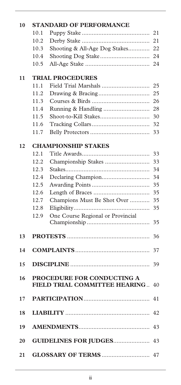| 10 | <b>STANDARD OF PERFORMANCE</b> |                                                 |    |
|----|--------------------------------|-------------------------------------------------|----|
|    | 10.1                           |                                                 | 21 |
|    | 10.2                           |                                                 | 21 |
|    | 10.3                           | Shooting & All-Age Dog Stakes                   | 22 |
|    | 10.4                           |                                                 | 24 |
|    | 10.5                           |                                                 | 24 |
|    |                                |                                                 |    |
| 11 | 11.1                           | <b>TRIAL PROCEDURES</b><br>Field Trial Marshals | 25 |
|    | 11.2                           |                                                 | 25 |
|    |                                |                                                 |    |
|    | 11.3                           |                                                 | 26 |
|    | 11.4                           |                                                 | 28 |
|    | 11.5                           |                                                 | 30 |
|    | 11.6                           |                                                 | 32 |
|    | 11.7                           |                                                 | 33 |
| 12 |                                | <b>CHAMPIONSHIP STAKES</b>                      |    |
|    | 12.1                           |                                                 | 33 |
|    | 12.2                           |                                                 | 33 |
|    | 12.3                           |                                                 | 34 |
|    | 12.4                           |                                                 | 34 |
|    | 12.5                           |                                                 | 35 |
|    | 12.6                           |                                                 | 35 |
|    | 12.7                           | Champions Must Be Shot Over                     | 35 |
|    | 12.8                           |                                                 | 35 |
|    | 12.9                           | One Course Regional or Provincial               |    |
|    |                                |                                                 | 35 |
| 13 |                                |                                                 | 36 |
| 14 |                                |                                                 | 37 |
|    |                                |                                                 |    |
| 15 |                                |                                                 | 39 |
| 16 |                                | PROCEDURE FOR CONDUCTING A                      |    |
|    |                                | FIELD TRIAL COMMITTEE HEARING                   | 40 |
| 17 |                                |                                                 | 41 |
| 18 |                                |                                                 | 42 |
| 19 |                                |                                                 | 43 |
| 20 |                                | <b>GUIDELINES FOR JUDGES</b>                    | 43 |
| 21 |                                |                                                 | 47 |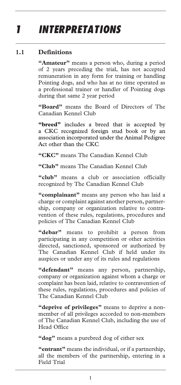## *1 INTERPRETATIONS*

#### **1.1 Definitions**

**"Amateur"** means a person who, during a period of 2 years preceding the trial, has not accepted remuneration in any form for training or handling Pointing dogs, and who has at no time operated as a professional trainer or handler of Pointing dogs during that same 2 year period

**"Board"** means the Board of Directors of The Canadian Kennel Club

**"breed"** includes a breed that is accepted by a CKC recognized foreign stud book or by an association incorporated under the Animal Pedigree Act other than the CKC

**"CKC"** means The Canadian Kennel Club

**"Club"** means The Canadian Kennel Club

**"club"** means a club or association officially recognized by The Canadian Kennel Club

**"complainant"** means any person who has laid a charge or complaint against another person, partnership, company or organization relative to contravention of these rules, regulations, procedures and policies of The Canadian Kennel Club

**"debar"** means to prohibit a person from participating in any competition or other activities directed, sanctioned, sponsored or authorized by The Canadian Kennel Club if held under its auspices or under any of its rules and regulations

**"defendant"** means any person, partnership, company or organization against whom a charge or complaint has been laid, relative to contravention of these rules, regulations, procedures and policies of The Canadian Kennel Club

**"deprive of privileges"** means to deprive a nonmember of all privileges accorded to non-members of The Canadian Kennel Club, including the use of Head Office

**"dog"** means a purebred dog of either sex

**"entrant"** means the individual, or if a partnership, all the members of the partnership, entering in a Field Trial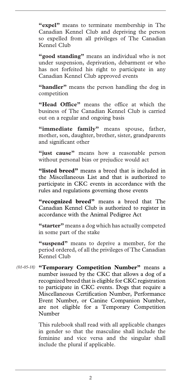**"expel"** means to terminate membership in The Canadian Kennel Club and depriving the person so expelled from all privileges of The Canadian Kennel Club

**"good standing"** means an individual who is not under suspension, deprivation, debarment or who has not forfeited his right to participate in any Canadian Kennel Club approved events

**"handler"** means the person handling the dog in competition

**"Head Office"** means the office at which the business of The Canadian Kennel Club is carried out on a regular and ongoing basis

**"immediate family"** means spouse, father, mother, son, daughter, brother, sister, grandparents and significant other

**"just cause"** means how a reasonable person without personal bias or prejudice would act

**"listed breed"** means a breed that is included in the Miscellaneous List and that is authorized to participate in CKC events in accordance with the rules and regulations governing those events

**"recognized breed"** means a breed that The Canadian Kennel Club is authorized to register in accordance with the Animal Pedigree Act

**"starter"** means a dog which has actually competed in some part of the stake

**"suspend"** means to deprive a member, for the period ordered, of all the privileges of The Canadian Kennel Club

**"Temporary Competition Number"** means a *(01-05-18)* number isssued by the CKC that allows a dog of a recognized breed that is eligible for CKC registration to participate in CKC events. Dogs that require a Miscellaneous Certification Number, Performance Event Number, or Canine Companion Number, are not eligible for a Temporary Competition Number

> This rulebook shall read with all applicable changes in gender so that the masculine shall include the feminine and vice versa and the singular shall include the plural if applicable.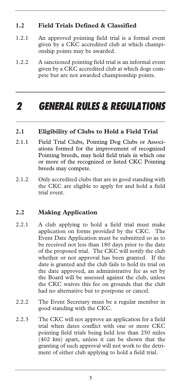#### **1.2 Field Trials Defined & Classified**

- 1.2.1 An approved pointing field trial is a formal event given by a CKC accredited club at which championship points may be awarded.
- 1.2.2 A sanctioned pointing field trial is an informal event given by a CKC accredited club at which dogs compete but are not awarded championship points.

### *2 GENERAL RULES & REGULATIONS*

#### **2.1 Eligibility of Clubs to Hold a Field Trial**

- 2.1.1 Field Trial Clubs, Pointing Dog Clubs or Associations formed for the improvement of recognized Pointing breeds, may hold field trials in which one or more of the recognized or listed CKC Pointing breeds may compete.
- 2.1.2 Only accredited clubs that are in good standing with the CKC are eligible to apply for and hold a field trial event.

#### **2.2 Making Application**

- 2.2.1 A club applying to hold a field trial must make application on forms provided by the CKC. The Event Date Application must be submitted so as to be received not less than 180 days prior to the date of the proposed trial. The CKC will notify the club whether or not approval has been granted. If the date is granted and the club fails to hold its trial on the date approved, an administrative fee as set by the Board will be assessed against the club, unless the CKC waives this fee on grounds that the club had no alternative but to postpone or cancel.
- 2.2.2 The Event Secretary must be a regular member in good standing with the CKC.
- 2.2.3 The CKC will not approve an application for a field trial when dates conflict with one or more CKC pointing field trials being held less than 250 miles (402 km) apart, unless it can be shown that the granting of such approval will not work to the detriment of either club applying to hold a field trial.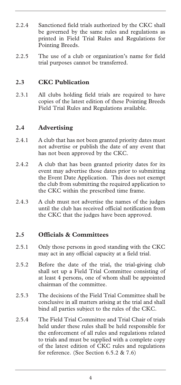- 2.2.4 Sanctioned field trials authorized by the CKC shall be governed by the same rules and regulations as printed in Field Trial Rules and Regulations for Pointing Breeds.
- 2.2.5 The use of a club or organization's name for field trial purposes cannot be transferred.

#### **2.3 CKC Publication**

2.3.1 All clubs holding field trials are required to have copies of the latest edition of these Pointing Breeds Field Trial Rules and Regulations available.

#### **2.4 Advertising**

- 2.4.1 A club that has not been granted priority dates must not advertise or publish the date of any event that has not been approved by the CKC.
- 2.4.2 A club that has been granted priority dates for its event may advertise those dates prior to submitting the Event Date Application. This does not exempt the club from submitting the required application to the CKC within the prescribed time frame.
- 2.4.3 A club must not advertise the names of the judges until the club has received official notification from the CKC that the judges have been approved.

#### **2.5 Officials & Committees**

- 2.5.1 Only those persons in good standing with the CKC may act in any official capacity at a field trial.
- 2.5.2 Before the date of the trial, the trial-giving club shall set up a Field Trial Committee consisting of at least 4 persons, one of whom shall be appointed chairman of the committee.
- 2.5.3 The decisions of the Field Trial Committee shall be conclusive in all matters arising at the trial and shall bind all parties subject to the rules of the CKC.
- 2.5.4 The Field Trial Committee and Trial Chair of trials held under these rules shall be held responsible for the enforcement of all rules and regulations related to trials and must be supplied with a complete copy of the latest edition of CKC rules and regulations for reference. (See Section 6.5.2 & 7.6)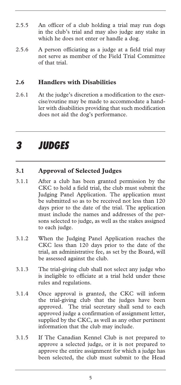- 2.5.5 An officer of a club holding a trial may run dogs in the club's trial and may also judge any stake in which he does not enter or handle a dog.
- 2.5.6 A person officiating as a judge at a field trial may not serve as member of the Field Trial Committee of that trial.

#### **2.6 Handlers with Disabilities**

2.6.1 At the judge's discretion a modification to the exercise/routine may be made to accommodate a handler with disabilities providing that such modification does not aid the dog's performance.

### *3 JUDGES*

#### **3.1 Approval of Selected Judges**

- 3.1.1 After a club has been granted permission by the CKC to hold a field trial, the club must submit the Judging Panel Application. The application must be submitted so as to be received not less than 120 days prior to the date of the trial. The application must include the names and addresses of the persons selected to judge, as well as the stakes assigned to each judge.
- 3.1.2 When the Judging Panel Application reaches the CKC less than 120 days prior to the date of the trial, an administrative fee, as set by the Board, will be assessed against the club.
- 3.1.3 The trial-giving club shall not select any judge who is ineligible to officiate at a trial held under these rules and regulations.
- 3.1.4 Once approval is granted, the CKC will inform the trial-giving club that the judges have been approved. The trial secretary shall send to each approved judge a confirmation of assignment letter, supplied by the CKC, as well as any other pertinent information that the club may include.
- 3.1.5 If The Canadian Kennel Club is not prepared to approve a selected judge, or it is not prepared to approve the entire assignment for which a judge has been selected, the club must submit to the Head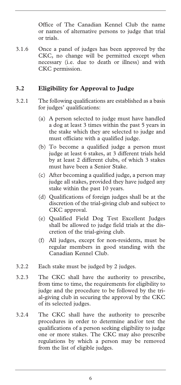Office of The Canadian Kennel Club the name or names of alternative persons to judge that trial or trials.

3.1.6 Once a panel of judges has been approved by the CKC, no change will be permitted except when necessary (i.e. due to death or illness) and with CKC permission.

#### **3.2 Eligibility for Approval to Judge**

- 3.2.1 The following qualifications are established as a basis for judges' qualifications:
	- (a) A person selected to judge must have handled a dog at least 3 times within the past 5 years in the stake which they are selected to judge and must officiate with a qualified judge.
	- (b) To become a qualified judge a person must judge at least 6 stakes, at 3 different trials held by at least 2 different clubs, of which 3 stakes must have been a Senior Stake.
	- (c) After becoming a qualified judge, a person may judge all stakes, provided they have judged any stake within the past 10 years.
	- (d) Qualifications of foreign judges shall be at the discretion of the trial-giving club and subject to CKC approval.
	- (e) Qualified Field Dog Test Excellent Judges shall be allowed to judge field trials at the discretion of the trial-giving club.
	- (f) All judges, except for non-residents, must be regular members in good standing with the Canadian Kennel Club.
- 3.2.2 Each stake must be judged by 2 judges.
- 3.2.3 The CKC shall have the authority to prescribe, from time to time, the requirements for eligibility to judge and the procedure to be followed by the trial-giving club in securing the approval by the CKC of its selected judges.
- 3.2.4 The CKC shall have the authority to prescribe procedures in order to determine and/or test the qualifications of a person seeking eligibility to judge one or more stakes. The CKC may also prescribe regulations by which a person may be removed from the list of eligible judges.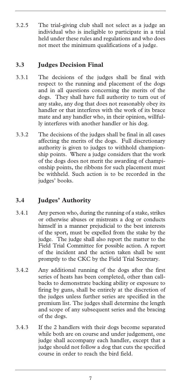3.2.5 The trial-giving club shall not select as a judge an individual who is ineligible to participate in a trial held under these rules and regulations and who does not meet the minimum qualifications of a judge.

#### **3.3 Judges Decision Final**

- 3.3.1 The decisions of the judges shall be final with respect to the running and placement of the dogs and in all questions concerning the merits of the dogs. They shall have full authority to turn out of any stake, any dog that does not reasonably obey its handler or that interferes with the work of its brace mate and any handler who, in their opinion, willfully interferes with another handler or his dog.
- 3.3.2 The decisions of the judges shall be final in all cases affecting the merits of the dogs. Full discretionary authority is given to judges to withhold championship points. Where a judge considers that the work of the dogs does not merit the awarding of championship points, the ribbons for such placement must be withheld. Such action is to be recorded in the judges' books.

#### **3.4 Judges' Authority**

- 3.4.1 Any person who, during the running of a stake, strikes or otherwise abuses or mistreats a dog or conducts himself in a manner prejudicial to the best interests of the sport, must be expelled from the stake by the judge. The judge shall also report the matter to the Field Trial Committee for possible action. A report of the incident and the action taken shall be sent promptly to the CKC by the Field Trial Secretary.
- 3.4.2 Any additional running of the dogs after the first series of heats has been completed, other than callbacks to demonstrate backing ability or exposure to firing by guns, shall be entirely at the discretion of the judges unless further series are specified in the premium list. The judges shall determine the length and scope of any subsequent series and the bracing of the dogs.
- 3.4.3 If the 2 handlers with their dogs become separated while both are on course and under judgement, one judge shall accompany each handler, except that a judge should not follow a dog that cuts the specified course in order to reach the bird field.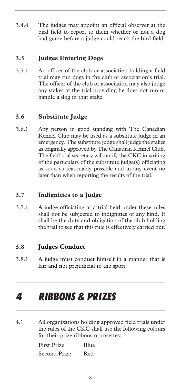3.4.4 The judges may appoint an official observer at the bird field to report to them whether or not a dog had game before a judge could reach the bird field.

#### **3.5 Judges Entering Dogs**

3.5.1 An officer of the club or association holding a field trial may run dogs in the club or association's trial. The officer of the club or association may also judge any stakes at the trial providing he does not run or handle a dog in that stake.

#### **3.6 Substitute Judge**

3.6.1 Any person in good standing with The Canadian Kennel Club may be used as a substitute judge in an emergency. The substitute judge shall judge the stakes as originally approved by The Canadian Kennel Club. The field trial secretary will notify the CKC in writing of the particulars of the substitute judge(s) officiating as soon as reasonably possible and in any event no later than when reporting the results of the trial.

#### **3.7 Indignities to a Judge**

3.7.1 A judge officiating at a trial held under these rules shall not be subjected to indignities of any kind. It shall be the duty and obligation of the club holding the trial to see that this rule is effectively carried out.

#### **3.8 Judges Conduct**

3.8.1 A judge must conduct himself in a manner that is fair and not prejudicial to the sport.

### *4 RIBBONS & PRIZES*

4.1 All organizations holding approved field trials under the rules of the CKC shall use the following colours for their prize ribbons or rosettes:

| First Prize  | Blue |  |
|--------------|------|--|
| Second Prize | Red  |  |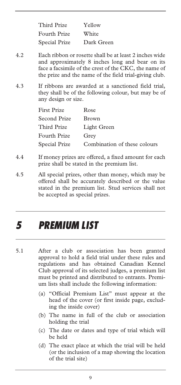| Third Prize   | Yellow     |
|---------------|------------|
| Fourth Prize  | White      |
| Special Prize | Dark Green |

- 4.2 Each ribbon or rosette shall be at least 2 inches wide and approximately 8 inches long and bear on its face a facsimile of the crest of the CKC, the name of the prize and the name of the field trial-giving club.
- 4.3 If ribbons are awarded at a sanctioned field trial, they shall be of the following colour, but may be of any design or size.

| Rose                         |
|------------------------------|
| Brown                        |
| Light Green                  |
| Grey                         |
| Combination of these colours |
|                              |

- 4.4 If money prizes are offered, a fixed amount for each prize shall be stated in the premium list.
- 4.5 All special prizes, other than money, which may be offered shall be accurately described or the value stated in the premium list. Stud services shall not be accepted as special prizes.

## *5 PREMIUM LIST*

- 5.1 After a club or association has been granted approval to hold a field trial under these rules and regulations and has obtained Canadian Kennel Club approval of its selected judges, a premium list must be printed and distributed to entrants. Premium lists shall include the following information:
	- (a) "Official Premium List" must appear at the head of the cover (or first inside page, excluding the inside cover)
	- (b) The name in full of the club or association holding the trial
	- (c) The date or dates and type of trial which will be held
	- (d) The exact place at which the trial will be held (or the inclusion of a map showing the location of the trial site)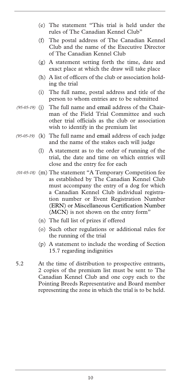- (e) The statement "This trial is held under the rules of The Canadian Kennel Club"
- (f) The postal address of The Canadian Kennel Club and the name of the Executive Director of The Canadian Kennel Club
- (g) A statement setting forth the time, date and exact place at which the draw will take place
- (h) A list of officers of the club or association holding the trial
- (i) The full name, postal address and title of the person to whom entries are to be submitted
- The full name and email address of the Chairman of the Field Trial Committee and such other trial officials as the club or association wish to identify in the premium list *(95-05-19)*
- (95-05-19) (k) The full name and email address of each judge and the name of the stakes each will judge
	- (l) A statement as to the order of running of the trial, the date and time on which entries will close and the entry fee for each
- (m) The statement "A Temporary Competition fee *(01-05-18)*  as established by The Canadian Kennel Club must accompany the entry of a dog for which a Canadian Kennel Club individual registration number or Event Registration Number (ERN) or Miscellaneous Certification Number (MCN) is not shown on the entry form"
	- (n) The full list of prizes if offered
	- (o) Such other regulations or additional rules for the running of the trial
	- (p) A statement to include the wording of Section 15.7 regarding indignities
- 5.2 At the time of distribution to prospective entrants, 2 copies of the premium list must be sent to The Canadian Kennel Club and one copy each to the Pointing Breeds Representative and Board member representing the zone in which the trial is to be held.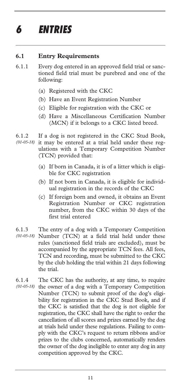## *6 ENTRIES*

#### **6.1 Entry Requirements**

- 6.1.1 Every dog entered in an approved field trial or sanctioned field trial must be purebred and one of the following:
	- (a) Registered with the CKC
	- (b) Have an Event Registration Number
	- (c) Eligible for registration with the CKC or
	- (d) Have a Miscellaneous Certification Number (MCN) if it belongs to a CKC listed breed.
- 6.1.2 If a dog is not registered in the CKC Stud Book, it may be entered at a trial held under these regulations with a Temporary Competition Number (TCN) provided that: *(01-05-18)* 
	- (a) If born in Canada, it is of a litter which is eligible for CKC registration
	- (b) If not born in Canada, it is eligible for individual registration in the records of the CKC
	- (c) If foreign born and owned, it obtains an Event Registration Number or CKC registration number, from the CKC within 30 days of the first trial entered
- 6.1.3 The entry of a dog with a Temporary Competition Number (TCN) at a field trial held under these *(01-05-18)*  rules (sanctioned field trials are excluded), must be accompanied by the appropriate TCN fees. All fees, TCN and recording, must be submitted to the CKC by the club holding the trial within 21 days following the trial.
- 6.1.4 The CKC has the authority, at any time, to require (01-05-18) the owner of a dog with a Temporary Competition Number (TCN) to submit proof of the dog's eligibility for registration in the CKC Stud Book, and if the CKC is satisfied that the dog is not eligible for registration, the CKC shall have the right to order the cancellation of all scores and prizes earned by the dog at trials held under these regulations. Failing to comply with the CKC's request to return ribbons and/or prizes to the clubs concerned, automatically renders the owner of the dog ineligible to enter any dog in any competition approved by the CKC.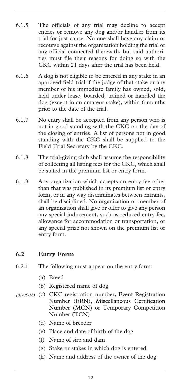- 6.1.5 The officials of any trial may decline to accept entries or remove any dog and/or handler from its trial for just cause. No one shall have any claim or recourse against the organization holding the trial or any official connected therewith, but said authorities must file their reasons for doing so with the CKC within 21 days after the trial has been held.
- 6.1.6 A dog is not eligible to be entered in any stake in an approved field trial if the judge of that stake or any member of his immediate family has owned, sold, held under lease, boarded, trained or handled the dog (except in an amateur stake), within 6 months prior to the date of the trial.
- 6.1.7 No entry shall be accepted from any person who is not in good standing with the CKC on the day of the closing of entries. A list of persons not in good standing with the CKC shall be supplied to the Field Trial Secretary by the CKC.
- 6.1.8 The trial-giving club shall assume the responsibility of collecting all listing fees for the CKC, which shall be stated in the premium list or entry form.
- 6.1.9 Any organization which accepts an entry fee other than that was published in its premium list or entry form, or in any way discriminates between entrants, shall be disciplined. No organization or member of an organization shall give or offer to give any person any special inducement, such as reduced entry fee, allowance for accommodation or transportation, or any special prize not shown on the premium list or entry form.

#### **6.2 Entry Form**

- 6.2.1 The following must appear on the entry form:
	- (a) Breed
	- (b) Registered name of dog
- (c) CKC registration number, Event Registration *(01-05-18)* Number (ERN), Miscellaneous Certification Number (MCN) or Temporary Competition Number (TCN)
	- (d) Name of breeder
	- (e) Place and date of birth of the dog
	- (f) Name of sire and dam
	- (g) Stake or stakes in which dog is entered
	- (h) Name and address of the owner of the dog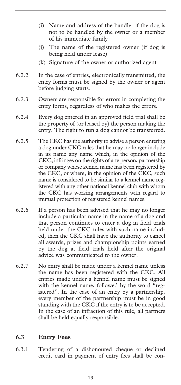- (i) Name and address of the handler if the dog is not to be handled by the owner or a member of his immediate family
- (j) The name of the registered owner (if dog is being held under lease)
- (k) Signature of the owner or authorized agent
- 6.2.2 In the case of entries, electronically transmitted, the entry forms must be signed by the owner or agent before judging starts.
- 6.2.3 Owners are responsible for errors in completing the entry forms, regardless of who makes the errors.
- 6.2.4 Every dog entered in an approved field trial shall be the property of (or leased by) the person making the entry. The right to run a dog cannot be transferred.
- 6.2.5 The CKC has the authority to advise a person entering a dog under CKC rules that he may no longer include in its name any name which, in the opinion of the CKC, infringes on the rights of any person, partnership or company whose kennel name has been registered by the CKC, or where, in the opinion of the CKC, such name is considered to be similar to a kennel name registered with any other national kennel club with whom the CKC has working arrangements with regard to mutual protection of registered kennel names.
- 6.2.6 If a person has been advised that he may no longer include a particular name in the name of a dog and that person continues to enter a dog in field trials held under the CKC rules with such name included, then the CKC shall have the authority to cancel all awards, prizes and championship points earned by the dog at field trials held after the original advice was communicated to the owner.
- 6.2.7 No entry shall be made under a kennel name unless the name has been registered with the CKC. All entries made under a kennel name must be signed with the kennel name, followed by the word "registered". In the case of an entry by a partnership, every member of the partnership must be in good standing with the CKC if the entry is to be accepted. In the case of an infraction of this rule, all partners shall be held equally responsible.

#### **6.3 Entry Fees**

6.3.1 Tendering of a dishonoured cheque or declined credit card in payment of entry fees shall be con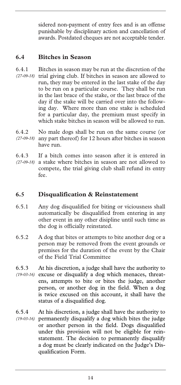sidered non-payment of entry fees and is an offense punishable by disciplinary action and cancellation of awards. Postdated cheques are not acceptable tender.

#### **6.4 Bitches in Season**

- 6.4.1 Bitches in season may be run at the discretion of the (27-09-18) trial giving club. If bitches in season are allowed to run, they may be entered in the last stake of the day to be run on a particular course. They shall be run in the last brace of the stake, or the last brace of the day if the stake will be carried over into the following day. Where more than one stake is scheduled for a particular day, the premium must specify in which stake bitches in season will be allowed to run.
- 6.4.2 No male dogs shall be run on the same course (or any part thereof) for 12 hours after bitches in season *(27-09-18)*  have run.
- 6.4.3 If a bitch comes into season after it is entered in a stake where bitches in season are not allowed to compete, the trial giving club shall refund its entry fee. *(27-09-18)*

#### **6.5 Disqualification & Reinstatement**

- 6.5.1 Any dog disqualified for biting or viciousness shall automatically be disqualified from entering in any other event in any other disipline until such time as the dog is officially reinstated.
- 6.5.2 A dog that bites or attempts to bite another dog or a person may be removed from the event grounds or premises for the duration of the event by the Chair of the Field Trial Committee
- 6.5.3 At his discretion, a judge shall have the authority to excuse or disqualify a dog which menaces, threat-*(19-03-16)*  ens, attempts to bite or bites the judge, another person, or another dog in the field. When a dog is twice excused on this account, it shall have the status of a disqualified dog.
- 6.5.4 At his discretion, a judge shall have the authority to permanently disqualify a dog which bites the judge *(19-03-16)* or another person in the field. Dogs disqualified under this provision will not be eligible for reinstatement. The decision to permanently disqualify a dog must be clearly indicated on the Judge's Disqualification Form.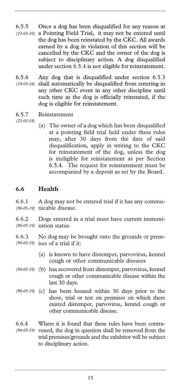- 6.5.5 Once a dog has been disqualified for any reason at a Pointing Field Trial, it may not be entered until the dog has been reinstated by the CKC. All awards earned by a dog in violation of this section will be cancelled by the CKC and the owner of the dog is subject to disciplinary action. A dog disqualified under section 6.5.4 is not eligible for reinstatement. *(23-03-19)*
- 6.5.6 Any dog that is disqualified under section 6.5.3 shall automatically be disqualified from entering in *(19-03-16)*  any other CKC event in any other discipline until such time as the dog is officially reinstated, if the dog is eligible for reinstatement.
- 6.5.7 Reinstatement

*(23-03-19)* 

(a) The owner of a dog which has been disqualified at a pointing field trial held under these rules may, after 30 days from the date of said disqualification, apply in writing to the CKC for reinstatement of the dog, unless the dog is ineligible for reinstatement as per Section 6.5.4. The request for reinstatement must be accompanied by a deposit as set by the Board.

#### **6.6 Health**

6.6.1 A dog may not be entered trial if it has any commu-(90-05-19) nicable disease.

6.6.2 Dogs entered in a trial must have current immunization status. *(90-05-19)* 

6.6.3 No dog may be brought onto the grounds or prem-(90-05-19) ises of a trial if it:

- (a) is known to have distemper, parvovirus, kennel cough or other communicable diseases
- (b) has recovered from distemper, parvovirus, kennel *(90-05-19)*  cough or other communicable disease within the last 30 days.
- (90-05-19) (c) has been housed within 30 days prior to the show, trial or test on premises on which there existed distemper, parvovirus, kennel cough or other communicable disease.
- 6.6.4 Where it is found that these rules have been contra-(90-05-19) vened, the dog in question shall be removed from the trial premises/grounds and the exhibitor will be subject to disciplinary action.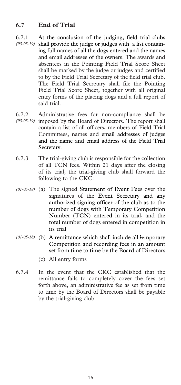#### **6.7 End of Trial**

- 6.7.1 At the conclusion of the judging, field trial clubs (95-05-19) shall provide the judge or judges with a list containing full names of all the dogs entered and the names and email addresses of the owners. The awards and absentees in the Pointing Field Trial Score Sheet shall be marked by the judge or judges and certified to by the Field Trial Secretary of the field trial club. The Field Trial Secretary shall file the Pointing Field Trial Score Sheet, together with all original entry forms of the placing dogs and a full report of said trial.
- 6.7.2 Administrative fees for non-compliance shall be (95-05-19) imposed by the Board of Directors. The report shall contain a list of all officers, members of Field Trial Committees, names and email addresses of judges and the name and email address of the Field Trial Secretary.
- 6.7.3 The trial-giving club is responsible for the collection of all TCN fees. Within 21 days after the closing of its trial, the trial-giving club shall forward the following to the CKC:
- (a) The signed Statement of Event Fees over the *(01-05-18)*  signatures of the Event Secretary and any authorized signing officer of the club as to the number of dogs with Temporary Competition Number (TCN) entered in its trial, and the total number of dogs entered in competition in its trial
- (b) A remittance which shall include all lemporary *(01-05-18)*  Competition and recording fees in an amount set from time to time by the Board of Directors
	- (c) All entry forms
- 6.7.4 In the event that the CKC established that the remittance fails to completely cover the fees set forth above, an administrative fee as set from time to time by the Board of Directors shall be payable by the trial-giving club.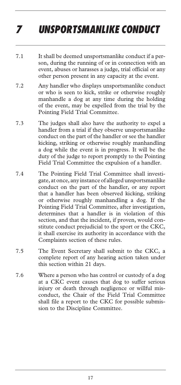## *7 UNSPORTSMANLIKE CONDUCT*

- 7.1 It shall be deemed unsportsmanlike conduct if a person, during the running of or in connection with an event, abuses or harasses a judge, trial official or any other person present in any capacity at the event.
- 7.2 Any handler who displays unsportsmanlike conduct or who is seen to kick, strike or otherwise roughly manhandle a dog at any time during the holding of the event, may be expelled from the trial by the Pointing Field Trial Committee.
- 7.3 The judges shall also have the authority to expel a handler from a trial if they observe unsportsmanlike conduct on the part of the handler or see the handler kicking, striking or otherwise roughly manhandling a dog while the event is in progress. It will be the duty of the judge to report promptly to the Pointing Field Trial Committee the expulsion of a handler.
- 7.4 The Pointing Field Trial Committee shall investigate, at once, any instance of alleged unsportsmanlike conduct on the part of the handler, or any report that a handler has been observed kicking, striking or otherwise roughly manhandling a dog. If the Pointing Field Trial Committee, after investigation, determines that a handler is in violation of this section, and that the incident, if proven, would constitute conduct prejudicial to the sport or the CKC, it shall exercise its authority in accordance with the Complaints section of these rules.
- 7.5 The Event Secretary shall submit to the CKC, a complete report of any hearing action taken under this section within 21 days.
- 7.6 Where a person who has control or custody of a dog at a CKC event causes that dog to suffer serious injury or death through negligence or willful misconduct, the Chair of the Field Trial Committee shall file a report to the CKC for possible submission to the Discipline Committee.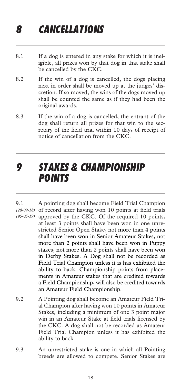## *8 CANCELLATIONS*

- 8.1 If a dog is entered in any stake for which it is ineligible, all prizes won by that dog in that stake shall be cancelled by the CKC.
- 8.2 If the win of a dog is cancelled, the dogs placing next in order shall be moved up at the judges' discretion. If so moved, the wins of the dogs moved up shall be counted the same as if they had been the original awards.
- 8.3 If the win of a dog is cancelled, the entrant of the dog shall return all prizes for that win to the secretary of the field trial within 10 days of receipt of notice of cancellation from the CKC.

### *9 STAKES & CHAMPIONSHIP POINTS*

- 9.1 A pointing dog shall become Field Trial Champion (28-09-18) of record after having won 10 points at field trials (95-05-19) approved by the CKC. Of the required 10 points, at least 3 points shall have been won in one unrestricted Senior Open Stake, not more than 4 points shall have been won in Senior Amateur Stakes, not more than 2 points shall have been won in Puppy stakes, not more than 2 points shall have been won in Derby Stakes. A Dog shall not be recorded as Field Trial Champion unless it is has exhibited the ability to back. Championship points from placements in Amateur stakes that are credited towards a Field Championship, will also be credited towards an Amateur Field Championship.
- 9.2 A Pointing dog shall become an Amateur Field Trial Champion after having won 10 points in Amateur Stakes, including a minimum of one 3 point major win in an Amateur Stake at field trials licensed by the CKC. A dog shall not be recorded as Amateur Field Trial Champion unless it has exhibited the ability to back.
- 9.3 An unrestricted stake is one in which all Pointing breeds are allowed to compete. Senior Stakes are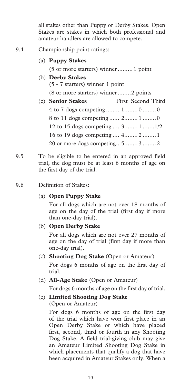all stakes other than Puppy or Derby Stakes. Open Stakes are stakes in which both professional and amateur handlers are allowed to compete.

#### 9.4 Championship point ratings:

(a) **Puppy Stakes** 

(5 or more starters) winner......... 1 point

- (b) **Derby Stakes**  (5 - 7 starters) winner 1 point (8 or more starters) winner........2 points
- (c) **Senior Stakes** First Second Third 4 to 7 dogs competing ........ 1........ 0 ........0 8 to 11 dogs competing ...... 2........ 1 ........0 12 to 15 dogs competing .... 3........ 1 .......1/2 16 to 19 dogs competing .... 4........ 2 ........1 20 or more dogs competing.. 5........ 3 ........2
- 9.5 To be eligible to be entered in an approved field trial, the dog must be at least 6 months of age on the first day of the trial.
- 9.6 Definition of Stakes:

#### (a) **Open Puppy Stake**

 For all dogs which are not over 18 months of age on the day of the trial (first day if more than one-day trial).

(b) **Open Derby Stake**

 For all dogs which are not over 27 months of age on the day of trial (first day if more than one-day trial).

(c) **Shooting Dog Stake** (Open or Amateur)

 For dogs 6 months of age on the first day of trial.

(d) **All-Age Stake** (Open or Amateur)

For dogs 6 months of age on the first day of trial.

(e) **Limited Shooting Dog Stake** (Open or Amateur)

> For dogs 6 months of age on the first day of the trial which have won first place in an Open Derby Stake or which have placed first, second, third or fourth in any Shooting Dog Stake. A field trial-giving club may give an Amateur Limited Shooting Dog Stake in which placements that qualify a dog that have been acquired in Amateur Stakes only. When a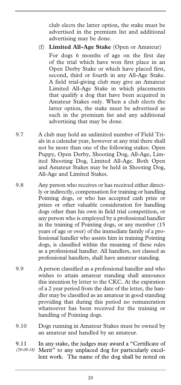club elects the latter option, the stake must be advertised in the premium list and additional advertising may be done.

(f) **Limited All-Age Stake** (Open or Amateur)

 For dogs 6 months of age on the first day of the trial which have won first place in an Open Derby Stake or which have placed first, second, third or fourth in any All-Age Stake. A field trial-giving club may give an Amateur Limited All-Age Stake in which placements that qualify a dog that have been acquired in Amateur Stakes only. When a club elects the latter option, the stake must be advertised as such in the premium list and any additional advertising that may be done.

- 9.7 A club may hold an unlimited number of Field Trials in a calendar year, however at any trial there shall not be more than one of the following stakes: Open Puppy, Open Derby, Shooting Dog, All-Age, Limited Shooting Dog, Limited All-Age. Both Open and Amateur Stakes may be held in Shooting Dog, All-Age and Limited Stakes.
- 9.8 Any person who receives or has received either directly or indirectly, compensation for training or handling Pointing dogs, or who has accepted cash prize or prizes or other valuable consideration for handling dogs other than his own in field trial competition, or any person who is employed by a professional handler in the training of Pointing dogs, or any member (15 years of age or over) of the immediate family of a professional handler who assists him in training Pointing dogs, is classified within the meaning of these rules as a professional handler. All handlers, not classed as professional handlers, shall have amateur standing.
- 9.9 A person classified as a professional handler and who wishes to attain amateur standing shall announce this intention by letter to the CKC. At the expiration of a 2 year period from the date of the letter, the handler may be classified as an amateur in good standing providing that during this period no remuneration whatsoever has been received for the training or handling of Pointing dogs.
- 9.10 Dogs running in Amateur Stakes must be owned by an amateur and handled by an amateur.

9.11 In any stake, the judges may award a "Certificate of Merit" to any unplaced dog for particularly excellent work. The name of the dog shall be noted on *(29-09-18)*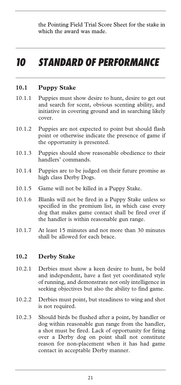the Pointing Field Trial Score Sheet for the stake in which the award was made.

### *10 STANDARD OF PERFORMANCE*

#### **10.1 Puppy Stake**

- 10.1.1 Puppies must show desire to hunt, desire to get out and search for scent, obvious scenting ability, and initiative in covering ground and in searching likely cover.
- 10.1.2 Puppies are not expected to point but should flash point or otherwise indicate the presence of game if the opportunity is presented.
- 10.1.3 Puppies should show reasonable obedience to their handlers' commands.
- 10.1.4 Puppies are to be judged on their future promise as high class Derby Dogs.
- 10.1.5 Game will not be killed in a Puppy Stake.
- 10.1.6 Blanks will not be fired in a Puppy Stake unless so specified in the premium list, in which case every dog that makes game contact shall be fired over if the handler is within reasonable gun range.
- 10.1.7 At least 15 minutes and not more than 30 minutes shall be allowed for each brace.

#### **10.2 Derby Stake**

- 10.2.1 Derbies must show a keen desire to hunt, be bold and independent, have a fast yet coordinated style of running, and demonstrate not only intelligence in seeking objectives but also the ability to find game.
- 10.2.2 Derbies must point, but steadiness to wing and shot is not required.
- 10.2.3 Should birds be flushed after a point, by handler or dog within reasonable gun range from the handler, a shot must be fired. Lack of opportunity for firing over a Derby dog on point shall not constitute reason for non-placement when it has had game contact in acceptable Derby manner.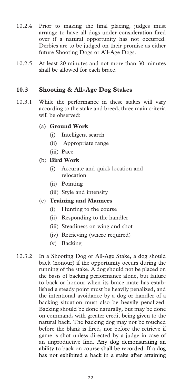- 10.2.4 Prior to making the final placing, judges must arrange to have all dogs under consideration fired over if a natural opportunity has not occurred. Derbies are to be judged on their promise as either future Shooting Dogs or All-Age Dogs.
- 10.2.5 At least 20 minutes and not more than 30 minutes shall be allowed for each brace.

#### **10.3 Shooting & All-Age Dog Stakes**

10.3.1 While the performance in these stakes will vary according to the stake and breed, three main criteria will be observed:

#### (a) **Ground Work**

- (i) Intelligent search
- (ii) Appropriate range
- (iii) Pace

#### (b) **Bird Work**

- (i) Accurate and quick location and relocation
- (ii) Pointing
- (iii) Style and intensity

#### (c) **Training and Manners**

- (i) Hunting to the course
- (ii) Responding to the handler
- (iii) Steadiness on wing and shot
- (iv) Retrieving (where required)
- (v) Backing
- 10.3.2 In a Shooting Dog or All-Age Stake, a dog should back (honour) if the opportunity occurs during the running of the stake. A dog should not be placed on the basis of backing performance alone, but failure to back or honour when its brace mate has established a steady point must be heavily penalized, and the intentional avoidance by a dog or handler of a backing situation must also be heavily penalized. Backing should be done naturally, but may be done on command, with greater credit being given to the natural back. The backing dog may not be touched before the blank is fired, nor before the retrieve if game is shot unless directed by a judge in case of an unproductive find. Any dog demonstrating an ability to back on course shall be recorded. If a dog has not exhibited a back in a stake after attaining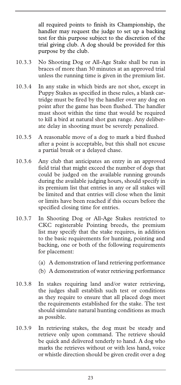all required points to finish its Championship, the handler may request the judge to set up a backing test for this purpose subject to the discretion of the trial giving club. A dog should be provided for this purpose by the club.

- 10.3.3 No Shooting Dog or All-Age Stake shall be run in braces of more than 30 minutes at an approved trial unless the running time is given in the premium list.
- 10.3.4 In any stake in which birds are not shot, except in Puppy Stakes as specified in these rules, a blank cartridge must be fired by the handler over any dog on point after the game has been flushed. The handler must shoot within the time that would be required to kill a bird at natural shot gun range. Any deliberate delay in shooting must be severely penalized.
- 10.3.5 A reasonable move of a dog to mark a bird flushed after a point is acceptable, but this shall not excuse a partial break or a delayed chase.
- 10.3.6 Any club that anticipates an entry in an approved field trial that might exceed the number of dogs that could be judged on the available running grounds during the available judging hours, should specify in its premium list that entries in any or all stakes will be limited and that entries will close when the limit or limits have been reached if this occurs before the specified closing time for entries.
- 10.3.7 In Shooting Dog or All-Age Stakes restricted to CKC registerable Pointing breeds, the premium list may specify that the stake requires, in addition to the basic requirements for hunting, pointing and backing, one or both of the following requirements for placement:
	- (a) A demonstration of land retrieving performance
	- (b) A demonstration of water retrieving performance
- 10.3.8 In stakes requiring land and/or water retrieving, the judges shall establish such test or conditions as they require to ensure that all placed dogs meet the requirements established for the stake. The test should simulate natural hunting conditions as much as possible.
- 10.3.9 In retrieving stakes, the dog must be steady and retrieve only upon command. The retrieve should be quick and delivered tenderly to hand. A dog who marks the retrieves without or with less hand, voice or whistle direction should be given credit over a dog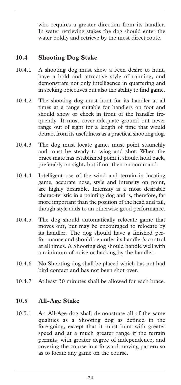who requires a greater direction from its handler. In water retrieving stakes the dog should enter the water boldly and retrieve by the most direct route.

#### **10.4 Shooting Dog Stake**

- 10.4.1 A shooting dog must show a keen desire to hunt, have a bold and attractive style of running, and demonstrate not only intelligence in quartering and in seeking objectives but also the ability to find game.
- 10.4.2 The shooting dog must hunt for its handler at all times at a range suitable for handlers on foot and should show or check in front of the handler frequently. It must cover adequate ground but never range out of sight for a length of time that would detract from its usefulness as a practical shooting dog.
- 10.4.3 The dog must locate game, must point staunchly and must be steady to wing and shot. When the brace mate has established point it should hold back, preferably on sight, but if not then on command.
- 10.4.4 Intelligent use of the wind and terrain in locating game, accurate nose, style and intensity on point, are highly desirable. Intensity is a most desirable charac-teristic in a pointing dog and is, therefore, far more important than the position of the head and tail, though style adds to an otherwise good performance.
- 10.4.5 The dog should automatically relocate game that moves out, but may be encouraged to relocate by its handler. The dog should have a finished perfor-mance and should be under its handler's control at all times. A Shooting dog should handle well with a minimum of noise or hacking by the handler.
- 10.4.6 No Shooting dog shall be placed which has not had bird contact and has not been shot over.
- 10.4.7 At least 30 minutes shall be allowed for each brace.

#### **10.5 All-Age Stake**

10.5.1 An All-Age dog shall demonstrate all of the same qualities as a Shooting dog as defined in the fore-going, except that it must hunt with greater speed and at a much greater range if the terrain permits, with greater degree of independence, and covering the course in a forward moving pattern so as to locate any game on the course.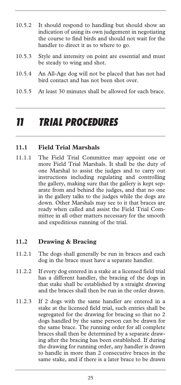- 10.5.2 It should respond to handling but should show an indication of using its own judgement in negotiating the course to find birds and should not wait for the handler to direct it as to where to go.
- 10.5.3 Style and intensity on point are essential and must be steady to wing and shot.
- 10.5.4 An All-Age dog will not be placed that has not had bird contact and has not been shot over.
- 10.5.5 At least 30 minutes shall be allowed for each brace.

### *11 TRIAL PROCEDURES*

#### **11.1 Field Trial Marshals**

11.1.1 The Field Trial Committee may appoint one or more Field Trial Marshals. It shall be the duty of one Marshal to assist the judges and to carry out instructions including regulating and controlling the gallery, making sure that the gallery is kept separate from and behind the judges, and that no one in the gallery talks to the judges while the dogs are down. Other Marshals may see to it that braces are ready when called and assist the Field Trial Committee in all other matters necessary for the smooth and expeditious running of the trial.

#### **11.2 Drawing & Bracing**

- 11.2.1 The dogs shall generally be run in braces and each dog in the brace must have a separate handler.
- 11.2.2 If every dog entered in a stake at a licensed field trial has a different handler, the bracing of the dogs in that stake shall be established by a straight drawing and the braces shall then be run in the order drawn.
- 11.2.3 If 2 dogs with the same handler are entered in a stake at the licensed field trial, such entries shall be segregated for the drawing for bracing so that no 2 dogs handled by the same person can be drawn for the same brace. The running order for all complete braces shall then be determined by a separate drawing after the bracing has been established. If during the drawing for running order, any handler is drawn to handle in more than 2 consecutive braces in the same stake, and if there is a later brace to be drawn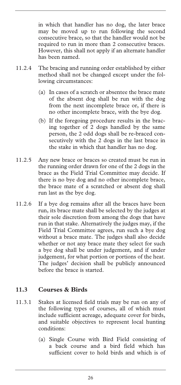in which that handler has no dog, the later brace may be moved up to run following the second consecutive brace, so that the handler would not be required to run in more than 2 consecutive braces. However, this shall not apply if an alternate handler has been named.

- 11.2.4 The bracing and running order established by either method shall not be changed except under the following circumstances:
	- (a) In cases of a scratch or absentee the brace mate of the absent dog shall be run with the dog from the next incomplete brace or, if there is no other incomplete brace, with the bye dog.
	- (b) If the foregoing procedure results in the bracing together of 2 dogs handled by the same person, the 2 odd dogs shall be re-braced consecutively with the 2 dogs in the last brace in the stake in which that handler has no dog.
- 11.2.5 Any new brace or braces so created must be run in the running order drawn for one of the 2 dogs in the brace as the Field Trial Committee may decide. If there is no bye dog and no other incomplete brace, the brace mate of a scratched or absent dog shall run last as the bye dog.
- 11.2.6 If a bye dog remains after all the braces have been run, its brace mate shall be selected by the judges at their sole discretion from among the dogs that have run in that stake. Alternatively the judges may, if the Field Trial Committee agrees, run such a bye dog without a brace mate. The judges shall also decide whether or not any brace mate they select for such a bye dog shall be under judgement, and if under judgement, for what portion or portions of the heat. The judges' decision shall be publicly announced before the brace is started.

#### **11.3 Courses & Birds**

- 11.3.1 Stakes at licensed field trials may be run on any of the following types of courses, all of which must include sufficient acreage, adequate cover for birds, and suitable objectives to represent local hunting conditions:
	- (a) Single Course with Bird Field consisting of a back course and a bird field which has sufficient cover to hold birds and which is of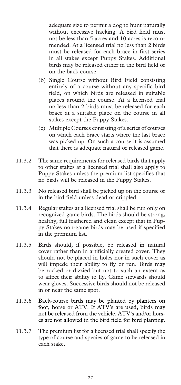adequate size to permit a dog to hunt naturally without excessive hacking. A bird field must not be less than 5 acres and 10 acres is recommended. At a licensed trial no less than 2 birds must be released for each brace in first series in all stakes except Puppy Stakes. Additional birds may be released either in the bird field or on the back course.

- (b) Single Course without Bird Field consisting entirely of a course without any specific bird field, on which birds are released in suitable places around the course. At a licensed trial no less than 2 birds must be released for each brace at a suitable place on the course in all stakes except the Puppy Stakes.
- (c) Multiple Courses consisting of a series of courses on which each brace starts where the last brace was picked up. On such a course it is assumed that there is adequate natural or released game.
- 11.3.2 The same requirements for released birds that apply to other stakes at a licensed trial shall also apply to Puppy Stakes unless the premium list specifies that no birds will be released in the Puppy Stakes.
- 11.3.3 No released bird shall be picked up on the course or in the bird field unless dead or crippled.
- 11.3.4 Regular stakes at a licensed trial shall be run only on recognized game birds. The birds should be strong, healthy, full feathered and clean except that in Puppy Stakes non-game birds may be used if specified in the premium list.
- 11.3.5 Birds should, if possible, be released in natural cover rather than in artificially created cover. They should not be placed in holes nor in such cover as will impede their ability to fly or run. Birds may be rocked or dizzied but not to such an extent as to affect their ability to fly. Game stewards should wear gloves. Successive birds should not be released in or near the same spot.
- 11.3.6 Back-course birds may be planted by planters on foot, horse or ATV. If ATV's are used, birds may not be released from the vehicle. ATV's and/or horses are not allowed in the bird field for bird planting.
- 11.3.7 The premium list for a licensed trial shall specify the type of course and species of game to be released in each stake.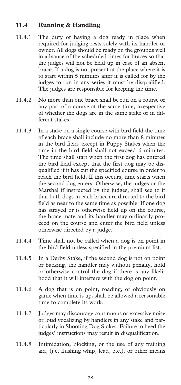#### **11.4 Running & Handling**

- 11.4.1 The duty of having a dog ready in place when required for judging rests solely with its handler or owner. All dogs should be ready on the grounds well in advance of the scheduled times for braces so that the judges will not be held up in case of an absent brace. If a dog is not present at the place where it is to start within 5 minutes after it is called for by the judges to run in any series it must be disqualified. The judges are responsible for keeping the time.
- 11.4.2 No more than one brace shall be run on a course or any part of a course at the same time, irrespective of whether the dogs are in the same stake or in different stakes.
- 11.4.3 In a stake on a single course with bird field the time of each brace shall include no more than 8 minutes in the bird field, except in Puppy Stakes when the time in the bird field shall not exceed 6 minutes. The time shall start when the first dog has entered the bird field except that the first dog may be disqualified if it has cut the specified course in order to reach the bird field. If this occurs, time starts when the second dog enters. Otherwise, the judges or the Marshal if instructed by the judges, shall see to it that both dogs in each brace are directed to the bird field as near to the same time as possible. If one dog has strayed or is otherwise held up on the course, the brace mate and its handler may ordinarily proceed on the course and enter the bird field unless otherwise directed by a judge.
- 11.4.4 Time shall not be called when a dog is on point in the bird field unless specified in the premium list.
- 11.4.5 In a Derby Stake, if the second dog is not on point or backing, the handler may without penalty, hold or otherwise control the dog if there is any likelihood that it will interfere with the dog on point.
- 11.4.6 A dog that is on point, roading, or obviously on game when time is up, shall be allowed a reasonable time to complete its work.
- 11.4.7 Judges may discourage continuous or excessive noise or loud vocalizing by handlers in any stake and particularly in Shooting Dog Stakes. Failure to heed the judges' instructions may result in disqualification.
- 11.4.8 Intimidation, blocking, or the use of any training aid, (i.e. flushing whip, lead, etc.), or other means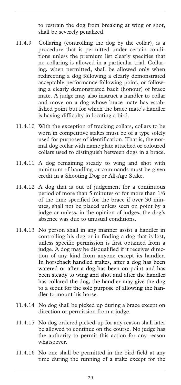to restrain the dog from breaking at wing or shot, shall be severely penalized.

- 11.4.9 Collaring (controlling the dog by the collar), is a procedure that is permitted under certain conditions unless the premium list clearly specifies that no collaring is allowed in a particular trial. Collaring, when permitted, shall be allowed only when redirecting a dog following a clearly demonstrated acceptable performance following point, or following a clearly demonstrated back (honour) of brace mate. A judge may also instruct a handler to collar and move on a dog whose brace mate has established point but for which the brace mate's handler is having difficulty in locating a bird.
- 11.4.10 With the exception of tracking collars, collars to be worn in competitive stakes must be of a type solely used for purposes of identification. That is, the normal dog collar with name plate attached or coloured collars used to distinguish between dogs in a brace.
- 11.4.11 A dog remaining steady to wing and shot with minimum of handling or commands must be given credit in a Shooting Dog or All-Age Stake.
- 11.4.12 A dog that is out of judgement for a continuous period of more than 5 minutes or for more than 1/6 of the time specified for the brace if over 30 minutes, shall not be placed unless seen on point by a judge or unless, in the opinion of judges, the dog's absence was due to unusual conditions.
- 11.4.13 No person shall in any manner assist a handler in controlling his dog or in finding a dog that is lost, unless specific permission is first obtained from a judge. A dog may be disqualified if it receives direction of any kind from anyone except its handler. In horseback handled stakes, after a dog has been watered or after a dog has been on point and has been steady to wing and shot and after the handler has collared the dog, the handler may give the dog to a scout for the sole purpose of allowing the handler to mount his horse.
- 11.4.14 No dog shall be picked up during a brace except on direction or permission from a judge.
- 11.4.15 No dog ordered picked-up for any reason shall later be allowed to continue on the course. No judge has the authority to permit this action for any reason whatsoever.
- 11.4.16 No one shall be permitted in the bird field at any time during the running of a stake except for the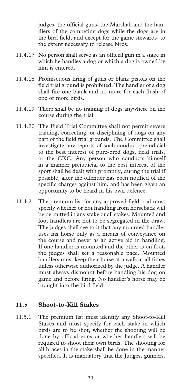judges, the official guns, the Marshal, and the handlers of the competing dogs while the dogs are in the bird field, and except for the game stewards, to the extent necessary to release birds.

- 11.4.17 No person shall serve as an official gun in a stake in which he handles a dog or which a dog is owned by him is entered.
- 11.4.18 Promiscuous firing of guns or blank pistols on the field trial ground is prohibited. The handler of a dog shall fire one blank and no more for each flush of one or more birds.
- 11.4.19 There shall be no training of dogs anywhere on the course during the trial.
- 11.4.20 The Field Trial Committee shall not permit severe training, correcting, or disciplining of dogs on any part of the field trial grounds. The Committee shall investigate any reports of such conduct prejudicial to the best interest of pure-bred dogs, field trials, or the CKC. Any person who conducts himself in a manner prejudicial to the best interest of the sport shall be dealt with promptly, during the trial if possible, after the offender has been notified of the specific charges against him, and has been given an opportunity to be heard in his own defence.
- 11.4.21 The premium list for any approved field trial must specify whether or not handling from horseback will be permitted in any stake or all stakes. Mounted and foot handlers are not to be segregated in the draw. The judges shall see to it that any mounted handler uses his horse only as a means of conveyance on the course and never as an active aid in handling. If one handler is mounted and the other is on foot, the judges shall set a reasonable pace. Mounted handlers must keep their horse at a walk at all times unless otherwise authorized by the judge. A handler must always dismount before handling his dog on game and before firing. No handler's horse may be brought into the bird field.

#### **11.5 Shoot-to-Kill Stakes**

11.5.1 The premium list must identify any Shoot-to-Kill Stakes and must specify for each stake in which birds are to be shot, whether the shooting will be done by official guns or whether handlers will be required to shoot their own birds. The shooting for all braces in the stake shall be done in the manner specified. It is mandatory that the Judges, gunners,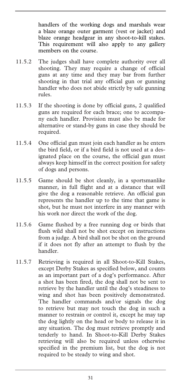handlers of the working dogs and marshals wear a blaze orange outer garment (vest or jacket) and blaze orange headgear in any shoot-to-kill stakes. This requirement will also apply to any gallery members on the course.

- 11.5.2 The judges shall have complete authority over all shooting. They may require a change of official guns at any time and they may bar from further shooting in that trial any official gun or gunning handler who does not abide strictly by safe gunning rules.
- 11.5.3 If the shooting is done by official guns, 2 qualified guns are required for each brace; one to accompany each handler. Provision must also be made for alternative or stand-by guns in case they should be required.
- 11.5.4 One official gun must join each handler as he enters the bird field, or if a bird field is not used at a designated place on the course, the official gun must always keep himself in the correct position for safety of dogs and persons.
- 11.5.5 Game should be shot cleanly, in a sportsmanlike manner, in full flight and at a distance that will give the dog a reasonable retrieve. An official gun represents the handler up to the time that game is shot, but he must not interfere in any manner with his work nor direct the work of the dog.
- 11.5.6 Game flushed by a free running dog or birds that flush wild shall not be shot except on instructions from a judge. A bird shall not be shot on the ground if it does not fly after an attempt to flush by the handler.
- 11.5.7 Retrieving is required in all Shoot-to-Kill Stakes, except Derby Stakes as specified below, and counts as an important part of a dog's performance. After a shot has been fired, the dog shall not be sent to retrieve by the handler until the dog's steadiness to wing and shot has been positively demonstrated. The handler commands and/or signals the dog to retrieve but may not touch the dog in such a manner to restrain or control it, except he may tap the dog lightly on the head or body to release it in any situation. The dog must retrieve promptly and tenderly to hand. In Shoot-to-Kill Derby Stakes retrieving will also be required unless otherwise specified in the premium list, but the dog is not required to be steady to wing and shot.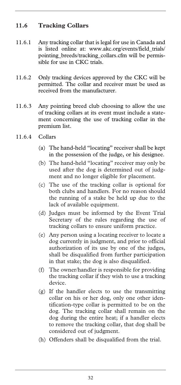#### **11.6 Tracking Collars**

- 11.6.1 Any tracking collar that is legal for use in Canada and is listed online at: www.akc.org/events/field\_trials/ pointing\_breeds/tracking\_collars.cfm will be permissible for use in CKC trials.
- 11.6.2 Only tracking devices approved by the CKC will be permitted. The collar and receiver must be used as received from the manufacturer.
- 11.6.3 Any pointing breed club choosing to allow the use of tracking collars at its event must include a statement concerning the use of tracking collar in the premium list.
- 11.6.4 Collars
	- (a) The hand-held "locating" receiver shall be kept in the possession of the judge, or his designee.
	- (b) The hand-held "locating" receiver may only be used after the dog is determined out of judgment and no longer eligible for placement.
	- (c) The use of the tracking collar is optional for both clubs and handlers. For no reason should the running of a stake be held up due to the lack of available equipment.
	- (d) Judges must be informed by the Event Trial Secretary of the rules regarding the use of tracking collars to ensure uniform practice.
	- (e) Any person using a locating receiver to locate a dog currently in judgment, and prior to official authorization of its use by one of the judges, shall be disqualified from further participation in that stake; the dog is also disqualified.
	- (f) The owner/handler is responsible for providing the tracking collar if they wish to use a tracking device.
	- (g) If the handler elects to use the transmitting collar on his or her dog, only one other identification-type collar is permitted to be on the dog. The tracking collar shall remain on the dog during the entire heat; if a handler elects to remove the tracking collar, that dog shall be considered out of judgment.
	- (h) Offenders shall be disqualified from the trial.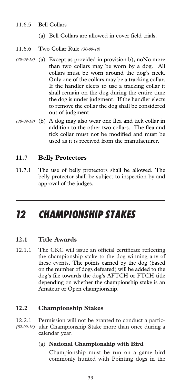#### 11.6.5 Bell Collars

- (a) Bell Collars are allowed in cover field trials.
- 11.6.6 Two Collar Rule *(30-09-18)*
- (a) Except as provided in provision b), noNo more *(30-09-18)*  than two collars may be worn by a dog. All collars must be worn around the dog's neck. Only one of the collars may be a tracking collar. If the handler elects to use a tracking collar it shall remain on the dog during the entire time the dog is under judgment. If the handler elects to remove the collar the dog shall be considered out of judgment
- (b) A dog may also wear one flea and tick collar in *(30-09-18)*  addition to the other two collars. The flea and tick collar must not be modified and must be used as it is received from the manufacturer.

#### **11.7 Belly Protectors**

11.7.1 The use of belly protectors shall be allowed. The belly protector shall be subject to inspection by and approval of the judges.

## *12 CHAMPIONSHIP STAKES*

#### **12.1 Title Awards**

12.1.1 The CKC will issue an official certificate reflecting the championship stake to the dog winning any of these events. The points earned by the dog (based on the number of dogs defeated) will be added to the dog's file towards the dog's AFTCH or FTCH title depending on whether the championship stake is an Amateur or Open championship.

#### **12.2 Championship Stakes**

12.2.1 Permission will not be granted to conduct a partic-(82-09-16) ular Championship Stake more than once during a calendar year.

#### (a) **National Championship with Bird**

 Championship must be run on a game bird commonly hunted with Pointing dogs in the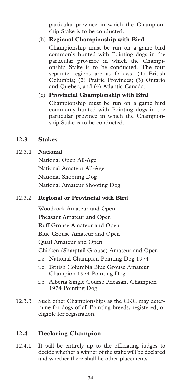particular province in which the Championship Stake is to be conducted.

#### (b) **Regional Championship with Bird**

 Championship must be run on a game bird commonly hunted with Pointing dogs in the particular province in which the Championship Stake is to be conducted. The four separate regions are as follows: (1) British Columbia; (2) Prairie Provinces; (3) Ontario and Quebec; and (4) Atlantic Canada.

#### (c) **Provincial Championship with Bird**

 Championship must be run on a game bird commonly hunted with Pointing dogs in the particular province in which the Championship Stake is to be conducted.

#### **12.3 Stakes**

#### 12.3.1 **National**

National Open All-Age National Amateur All-Age National Shooting Dog National Amateur Shooting Dog

#### 12.3.2 **Regional or Provincial with Bird**

Woodcock Amateur and Open Pheasant Amateur and Open Ruff Grouse Amateur and Open Blue Grouse Amateur and Open Quail Amateur and Open Chicken (Sharptail Grouse) Amateur and Open i.e. National Champion Pointing Dog 1974 i.e. British Columbia Blue Grouse Amateur Champion 1974 Pointing Dog

- i.e. Alberta Single Course Pheasant Champion 1974 Pointing Dog
- 12.3.3 Such other Championships as the CKC may determine for dogs of all Pointing breeds, registered, or eligible for registration.

#### **12.4 Declaring Champion**

12.4.1 It will be entirely up to the officiating judges to decide whether a winner of the stake will be declared and whether there shall be other placements.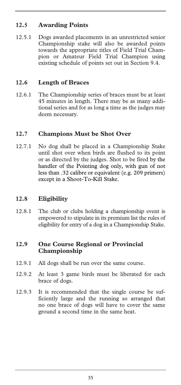#### **12.5 Awarding Points**

12.5.1 Dogs awarded placements in an unrestricted senior Championship stake will also be awarded points towards the appropriate titles of Field Trial Champion or Amateur Field Trial Champion using existing schedule of points set out in Section 9.4.

#### **12.6 Length of Braces**

12.6.1 The Championship series of braces must be at least 45 minutes in length. There may be as many additional series and for as long a time as the judges may deem necessary.

#### **12.7 Champions Must be Shot Over**

12.7.1 No dog shall be placed in a Championship Stake until shot over when birds are flushed to its point or as directed by the judges. Shot to be fired by the handler of the Pointing dog only, with gun of not less than .32 calibre or equivalent (e.g. 209 primers) except in a Shoot-To-Kill Stake.

#### **12.8 Eligibility**

12.8.1 The club or clubs holding a championship event is empowered to stipulate in its premium list the rules of eligibility for entry of a dog in a Championship Stake.

#### **12.9 One Course Regional or Provincial Championship**

- 12.9.1 All dogs shall be run over the same course.
- 12.9.2 At least 3 game birds must be liberated for each brace of dogs.
- 12.9.3 It is recommended that the single course be sufficiently large and the running so arranged that no one brace of dogs will have to cover the same ground a second time in the same heat.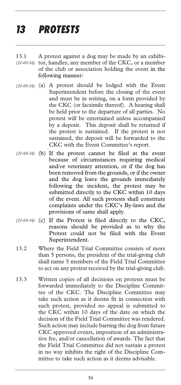## *13 PROTESTS*

- 13.1 A protest against a dog may be made by an exhibitor, handler, any member of the CKC, or a member of the club or association holding the event in the following manner: *(21-03-16)*
- (a) A protest should be lodged with the Event *(21-03-16)*  Superintendent before the closing of the event and must be in writing, on a form provided by the CKC (or facsimile thereof). A hearing shall be held prior to the departure of all parties. No protest will be entertained unless accompanied by a deposit. This deposit shall be returned if the protest is sustained. If the protest is not sustained, the deposit will be forwarded to the CKC with the Event Committee's report.
- (21-03-16) (b) If the protest cannot be filed at the event because of circumstances requiring medical and/or veterinary attention, or if the dog has been removed from the grounds, or if the owner and the dog leave the grounds immediately following the incident, the protest may be submitted directly to the CKC within 10 days of the event. All such protests shall constitute complaints under the CKC's By-laws and the provisions of same shall apply.
- (21-03-16) (c) If the Protest is filed directly to the CKC, reasons should be provided as to why the Protest could not be filed with the Event Superintendent.
- 13.2 Where the Field Trial Committee consists of more than 5 persons, the president of the trial-giving club shall name 5 members of the Field Trial Committee to act on any protest received by the trial-giving club.
- 13.3 Written copies of all decisions on protests must be forwarded immediately to the Discipline Committee of the CKC. The Discipline Committee may take such action as it deems fit in connection with such protest, provided no appeal is submitted to the CKC within 10 days of the date on which the decision of the Field Trial Committee was rendered. Such action may include barring the dog from future CKC approved events, imposition of an administrative fee, and/or cancellation of awards. The fact that the Field Trial Committee did not sustain a protest in no way inhibits the right of the Discipline Committee to take such action as it deems advisable.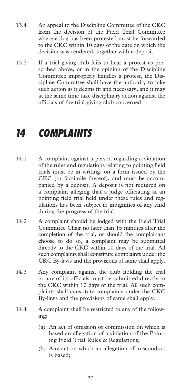- 13.4 An appeal to the Discipline Committee of the CKC from the decision of the Field Trial Committee where a dog has been protested must be forwarded to the CKC within 10 days of the date on which the decision was rendered, together with a deposit.
- 13.5 If a trial-giving club fails to hear a protest as prescribed above, or in the opinion of the Discipline Committee improperly handles a protest, the Discipline Committee shall have the authority to take such action as it deems fit and necessary, and it may at the same time take disciplinary action against the officials of the trial-giving club concerned.

### *14 COMPLAINTS*

- 14.1 A complaint against a person regarding a violation of the rules and regulations relating to pointing field trials must be in writing, on a form issued by the CKC (or facsimile thereof), and must be accompanied by a deposit. A deposit is not required on a complaint alleging that a judge officiating at an pointing field trial held under these rules and regulations has been subject to indignities of any kind during the progress of the trial.
- 14.2 A complaint should be lodged with the Field Trial Committee Chair no later than 15 minutes after the completion of the trial, or should the complainant choose to do so, a complaint may be submitted directly to the CKC within 10 days of the trial. All such complaints shall constitute complaints under the CKC By-laws and the provisions of same shall apply.
- 14.3 Any complaint against the club holding the trial or any of its officials must be submitted directly to the CKC within 10 days of the trial. All such complaints shall constitute complaints under the CKC By-laws and the provisions of same shall apply.
- 14.4 A complaint shall be restricted to any of the following:
	- (a) An act of omission or commission on which is based an allegation of a violation of the Pointing Field Trial Rules & Regulations;
	- (b) Any act on which an allegation of misconduct is based;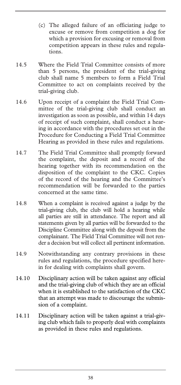- (c) The alleged failure of an officiating judge to excuse or remove from competition a dog for which a provision for excusing or removal from competition appears in these rules and regulations.
- 14.5 Where the Field Trial Committee consists of more than 5 persons, the president of the trial-giving club shall name 5 members to form a Field Trial Committee to act on complaints received by the trial-giving club.
- 14.6 Upon receipt of a complaint the Field Trial Committee of the trial-giving club shall conduct an investigation as soon as possible, and within 14 days of receipt of such complaint, shall conduct a hearing in accordance with the procedures set out in the Procedure for Conducting a Field Trial Committee Hearing as provided in these rules and regulations.
- 14.7 The Field Trial Committee shall promptly forward the complaint, the deposit and a record of the hearing together with its recommendation on the disposition of the complaint to the CKC. Copies of the record of the hearing and the Committee's recommendation will be forwarded to the parties concerned at the same time.
- 14.8 When a complaint is received against a judge by the trial-giving club, the club will hold a hearing while all parties are still in attendance. The report and all statements given by all parties will be forwarded to the Discipline Committee along with the deposit from the complainant. The Field Trial Committee will not render a decision but will collect all pertinent information.
- 14.9 Notwithstanding any contrary provisions in these rules and regulations, the procedure specified herein for dealing with complaints shall govern.
- 14.10 Disciplinary action will be taken against any official and the trial-giving club of which they are an official when it is established to the satisfaction of the CKC that an attempt was made to discourage the submission of a complaint.
- 14.11 Disciplinary action will be taken against a trial-giving club which fails to properly deal with complaints as provided in these rules and regulations.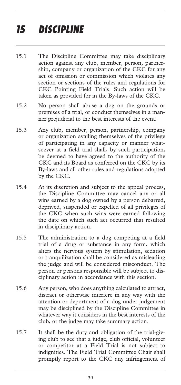## *15 DISCIPLINE*

- 15.1 The Discipline Committee may take disciplinary action against any club, member, person, partnership, company or organization of the CKC for any act of omission or commission which violates any section or sections of the rules and regulations for CKC Pointing Field Trials. Such action will be taken as provided for in the By-laws of the CKC.
- 15.2 No person shall abuse a dog on the grounds or premises of a trial, or conduct themselves in a manner prejudicial to the best interests of the event.
- 15.3 Any club, member, person, partnership, company or organization availing themselves of the privilege of participating in any capacity or manner whatsoever at a field trial shall, by such participation, be deemed to have agreed to the authority of the CKC and its Board as conferred on the CKC by its By-laws and all other rules and regulations adopted by the CKC.
- 15.4 At its discretion and subject to the appeal process, the Discipline Committee may cancel any or all wins earned by a dog owned by a person debarred, deprived, suspended or expelled of all privileges of the CKC when such wins were earned following the date on which such act occurred that resulted in disciplinary action.
- 15.5 The administration to a dog competing at a field trial of a drug or substance in any form, which alters the nervous system by stimulation, sedation or tranquilization shall be considered as misleading the judge and will be considered misconduct. The person or persons responsible will be subject to disciplinary action in accordance with this section.
- 15.6 Any person, who does anything calculated to attract, distract or otherwise interfere in any way with the attention or deportment of a dog under judgement may be disciplined by the Discipline Committee in whatever way it considers in the best interests of the club, or the judge may take summary action.
- 15.7 It shall be the duty and obligation of the trial-giving club to see that a judge, club official, volunteer or competitor at a Field Trial is not subject to indignities. The Field Trial Committee Chair shall promptly report to the CKC any infringement of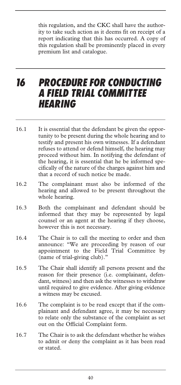this regulation, and the CKC shall have the authority to take such action as it deems fit on receipt of a report indicating that this has occurred. A copy of this regulation shall be prominently placed in every premium list and catalogue.

### *16 PROCEDURE FOR CONDUCTING A FIELD TRIAL COMMITTEE HEARING*

- 16.1 It is essential that the defendant be given the opportunity to be present during the whole hearing and to testify and present his own witnesses. If a defendant refuses to attend or defend himself, the hearing may proceed without him. In notifying the defendant of the hearing, it is essential that he be informed specifically of the nature of the charges against him and that a record of such notice be made.
- 16.2 The complainant must also be informed of the hearing and allowed to be present throughout the whole hearing.
- 16.3 Both the complainant and defendant should be informed that they may be represented by legal counsel or an agent at the hearing if they choose, however this is not necessary.
- 16.4 The Chair is to call the meeting to order and then announce: "We are proceeding by reason of our appointment to the Field Trial Committee by (name of trial-giving club)."
- 16.5 The Chair shall identify all persons present and the reason for their presence (i.e. complainant, defendant, witness) and then ask the witnesses to withdraw until required to give evidence. After giving evidence a witness may be excused.
- 16.6 The complaint is to be read except that if the complainant and defendant agree, it may be necessary to relate only the substance of the complaint as set out on the Official Complaint form.
- 16.7 The Chair is to ask the defendant whether he wishes to admit or deny the complaint as it has been read or stated.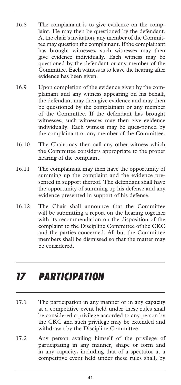- 16.8 The complainant is to give evidence on the complaint. He may then be questioned by the defendant. At the chair's invitation, any member of the Committee may question the complainant. If the complainant has brought witnesses, such witnesses may then give evidence individually. Each witness may be questioned by the defendant or any member of the Committee. Each witness is to leave the hearing after evidence has been given.
- 16.9 Upon completion of the evidence given by the complainant and any witness appearing on his behalf, the defendant may then give evidence and may then be questioned by the complainant or any member of the Committee. If the defendant has brought witnesses, such witnesses may then give evidence individually. Each witness may be ques-tioned by the complainant or any member of the Committee.
- 16.10 The Chair may then call any other witness which the Committee considers appropriate to the proper hearing of the complaint.
- 16.11 The complainant may then have the opportunity of summing up the complaint and the evidence presented in support thereof. The defendant shall have the opportunity of summing up his defense and any evidence presented in support of his defense.
- 16.12 The Chair shall announce that the Committee will be submitting a report on the hearing together with its recommendation on the disposition of the complaint to the Discipline Committee of the CKC and the parties concerned. All but the Committee members shall be dismissed so that the matter may be considered.

## *17 PARTICIPATION*

- 17.1 The participation in any manner or in any capacity at a competitive event held under these rules shall be considered a privilege accorded to any person by the CKC and such privilege may be extended and withdrawn by the Discipline Committee.
- 17.2 Any person availing himself of the privilege of participating in any manner, shape or form and in any capacity, including that of a spectator at a competitive event held under these rules shall, by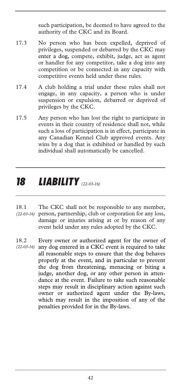such participation, be deemed to have agreed to the authority of the CKC and its Board.

- 17.3 No person who has been expelled, deprived of privileges, suspended or debarred by the CKC may enter a dog, compete, exhibit, judge, act as agent or handler for any competitor, take a dog into any competition or be connected in any capacity with competitive events held under these rules.
- 17.4 A club holding a trial under these rules shall not engage, in any capacity, a person who is under suspension or expulsion, debarred or deprived of privileges by the CKC.
- 17.5 Any person who has lost the right to participate in events in their country of residence shall not, while such a loss of participation is in effect, participate in any Canadian Kennel Club approved events. Any wins by a dog that is exhibited or handled by such individual shall automatically be cancelled.

## *18 LIABILITY (22-03-16)*

- 18.1 The CKC shall not be responsible to any member, person, partnership, club or corporation for any loss, *(22-03-16)*  damage or injuries arising at or by reason of any event held under any rules adopted by the CKC.
- 18.2 Every owner or authorized agent for the owner of any dog entered in a CKC event is required to take all reasonable steps to ensure that the dog behaves properly at the event, and in particular to prevent the dog from threatening, menacing or biting a judge, another dog, or any other person in attendance at the event. Failure to take such reasonable steps may result in disciplinary action against such owner or authorized agent under the By-laws, which may result in the imposition of any of the penalties provided for in the By-laws. *(22-03-16)*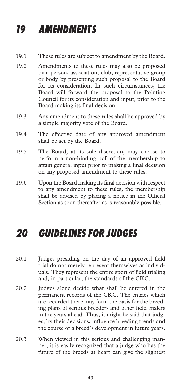## *19 AMENDMENTS*

- 19.1 These rules are subject to amendment by the Board.
- 19.2 Amendments to these rules may also be proposed by a person, association, club, representative group or body by presenting such proposal to the Board for its consideration. In such circumstances, the Board will forward the proposal to the Pointing Council for its consideration and input, prior to the Board making its final decision.
- 19.3 Any amendment to these rules shall be approved by a simple majority vote of the Board.
- 19.4 The effective date of any approved amendment shall be set by the Board.
- 19.5 The Board, at its sole discretion, may choose to perform a non-binding poll of the membership to attain general input prior to making a final decision on any proposed amendment to these rules.
- 19.6 Upon the Board making its final decision with respect to any amendment to these rules, the membership shall be advised by placing a notice in the Official Section as soon thereafter as is reasonably possible.

### *20 GUIDELINES FOR JUDGES*

- 20.1 Judges presiding on the day of an approved field trial do not merely represent themselves as individuals. They represent the entire sport of field trialing and, in particular, the standards of the CKC.
- 20.2 Judges alone decide what shall be entered in the permanent records of the CKC. The entries which are recorded there may form the basis for the breeding plans of serious breeders and other field trialers in the years ahead. Thus, it might be said that judges, by their decisions, influence breeding trends and the course of a breed's development in future years.
- 20.3 When viewed in this serious and challenging manner, it is easily recognized that a judge who has the future of the breeds at heart can give the slightest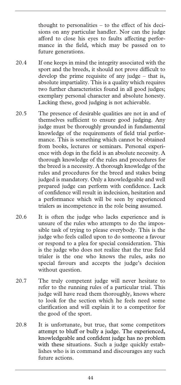thought to personalities – to the effect of his decisions on any particular handler. Nor can the judge afford to close his eyes to faults affecting performance in the field, which may be passed on to future generations.

- 20.4 If one keeps in mind the integrity associated with the sport and the breeds, it should not prove difficult to develop the prime requisite of any judge – that is, absolute impartiality. This is a quality which requires two further characteristics found in all good judges; exemplary personal character and absolute honesty. Lacking these, good judging is not achievable.
- 20.5 The presence of desirable qualities are not in and of themselves sufficient to ensure good judging. Any judge must be thoroughly grounded in fundamental knowledge of the requirements of field trial performance. This is something which cannot be obtained from books, lectures or seminars. Personal experience with dogs in the field is an absolute necessity. A thorough knowledge of the rules and procedures for the breed is a necessity. A thorough knowledge of the rules and procedures for the breed and stakes being judged is mandatory. Only a knowledgeable and well prepared judge can perform with confidence. Lack of confidence will result in indecision, hesitation and a performance which will be seen by experienced trialers as incompetence in the role being assumed.
- 20.6 It is often the judge who lacks experience and is unsure of the rules who attempts to do the impossible task of trying to please everybody. This is the judge who feels called upon to do someone a favour or respond to a plea for special consideration. This is the judge who does not realize that the true field trialer is the one who knows the rules, asks no special favours and accepts the judge's decision without question.
- 20.7 The truly competent judge will never hesitate to refer to the running rules of a particular trial. This judge will have read them thoroughly, knows where to look for the section which he feels need some clarification and will explain it to a competitor for the good of the sport.
- 20.8 It is unfortunate, but true, that some competitors attempt to bluff or bully a judge. The experienced, knowledgeable and confident judge has no problem with these situations. Such a judge quickly establishes who is in command and discourages any such future actions.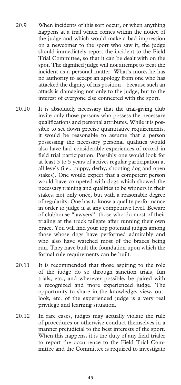- 20.9 When incidents of this sort occur, or when anything happens at a trial which comes within the notice of the judge and which would make a bad impression on a newcomer to the sport who saw it, the judge should immediately report the incident to the Field Trial Committee, so that it can be dealt with on the spot. The dignified judge will not attempt to treat the incident as a personal matter. What's more, he has no authority to accept an apology from one who has attacked the dignity of his position – because such an attack is damaging not only to the judge, but to the interest of everyone else connected with the sport.
- 20.10 It is absolutely necessary that the trial-giving club invite only those persons who possess the necessary qualifications and personal attributes. While it is possible to set down precise quantitative requirements, it would be reasonable to assume that a person possessing the necessary personal qualities would also have had considerable experiences of record in field trial participation. Possibly one would look for at least 3 to 5 years of active, regular participation at all levels (i.e., puppy, derby, shooting dog and open stakes). One would expect that a competent person would have competed with dogs which showed the necessary training and qualities to be winners in their stakes, not only once, but with a reasonable degree of regularity. One has to know a quality performance in order to judge it at any competitive level. Beware of clubhouse "lawyers": those who do most of their trialing at the truck tailgate after running their own brace. You will find your top potential judges among those whose dogs have performed admirably and who also have watched most of the braces being run. They have built the foundation upon which the formal rule requirements can be built.
- 20.11 It is recommended that those aspiring to the role of the judge do so through sanction trials, fun trials, etc., and wherever possible, be paired with a recognized and more experienced judge. The opportunity to share in the knowledge, view, outlook, etc. of the experienced judge is a very real privilege and learning situation.
- 20.12 In rare cases, judges may actually violate the rule of procedures or otherwise conduct themselves in a manner prejudicial to the best interests of the sport. When this happens, it is the duty of any field trialer to report the occurrence to the Field Trial Committee and the Committee is required to investigate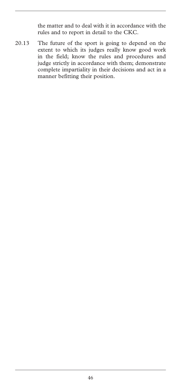the matter and to deal with it in accordance with the rules and to report in detail to the CKC.

20.13 The future of the sport is going to depend on the extent to which its judges really know good work in the field; know the rules and procedures and judge strictly in accordance with them; demonstrate complete impartiality in their decisions and act in a manner befitting their position.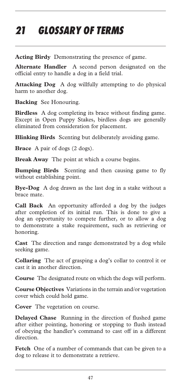## *21 GLOSSARY OF TERMS*

**Acting Birdy** Demonstrating the presence of game.

**Alternate Handler** A second person designated on the official entry to handle a dog in a field trial.

**Attacking Dog** A dog willfully attempting to do physical harm to another dog.

**Backing** See Honouring.

**Birdless** A dog completing its brace without finding game. Except in Open Puppy Stakes, birdless dogs are generally eliminated from consideration for placement.

**Blinking Birds** Scenting but deliberately avoiding game.

**Brace** A pair of dogs (2 dogs).

**Break Away** The point at which a course begins.

**Bumping Birds** Scenting and then causing game to fly without establishing point.

**Bye-Dog** A dog drawn as the last dog in a stake without a brace mate.

**Call Back** An opportunity afforded a dog by the judges after completion of its initial run. This is done to give a dog an opportunity to compete further, or to allow a dog to demonstrate a stake requirement, such as retrieving or honoring.

**Cast** The direction and range demonstrated by a dog while seeking game.

**Collaring** The act of grasping a dog's collar to control it or cast it in another direction.

**Course** The designated route on which the dogs will perform.

**Course Objectives** Variations in the terrain and/or vegetation cover which could hold game.

**Cover** The vegetation on course.

**Delayed Chase** Running in the direction of flushed game after either pointing, honoring or stopping to flush instead of obeying the handler's command to cast off in a different direction.

**Fetch** One of a number of commands that can be given to a dog to release it to demonstrate a retrieve.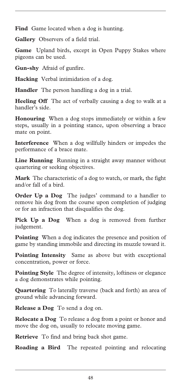Find Game located when a dog is hunting.

**Gallery** Observers of a field trial.

**Game** Upland birds, except in Open Puppy Stakes where pigeons can be used.

**Gun-shy** Afraid of gunfire.

**Hacking** Verbal intimidation of a dog.

**Handler** The person handling a dog in a trial.

**Heeling Off** The act of verbally causing a dog to walk at a handler's side.

**Honouring** When a dog stops immediately or within a few steps, usually in a pointing stance, upon observing a brace mate on point.

**Interference** When a dog willfully hinders or impedes the performance of a brace mate.

**Line Running** Running in a straight away manner without quartering or seeking objectives.

**Mark** The characteristic of a dog to watch, or mark, the fight and/or fall of a bird.

**Order Up a Dog** The judges' command to a handler to remove his dog from the course upon completion of judging or for an infraction that disqualifies the dog.

**Pick Up a Dog** When a dog is removed from further judgement.

**Pointing** When a dog indicates the presence and position of game by standing immobile and directing its muzzle toward it.

**Pointing Intensity** Same as above but with exceptional concentration, power or force.

**Pointing Style** The degree of intensity, loftiness or elegance a dog demonstrates while pointing.

**Quartering** To laterally traverse (back and forth) an area of ground while advancing forward.

**Release a Dog** To send a dog on.

**Relocate a Dog** To release a dog from a point or honor and move the dog on, usually to relocate moving game.

**Retrieve** To find and bring back shot game.

**Roading a Bird** The repeated pointing and relocating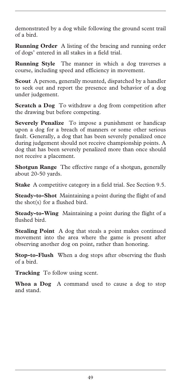demonstrated by a dog while following the ground scent trail of a bird.

**Running Order** A listing of the bracing and running order of dogs' entered in all stakes in a field trial.

**Running Style** The manner in which a dog traverses a course, including speed and efficiency in movement.

**Scout** A person, generally mounted, dispatched by a handler to seek out and report the presence and behavior of a dog under judgement.

**Scratch a Dog** To withdraw a dog from competition after the drawing but before competing.

**Severely Penalize** To impose a punishment or handicap upon a dog for a breach of manners or some other serious fault. Generally, a dog that has been severely penalized once during judgement should not receive championship points. A dog that has been severely penalized more than once should not receive a placement.

**Shotgun Range** The effective range of a shotgun, generally about 20-50 yards.

**Stake** A competitive category in a field trial. See Section 9.5.

**Steady-to-Shot** Maintaining a point during the flight of and the shot(s) for a flushed bird.

**Steady-to-Wing** Maintaining a point during the flight of a flushed bird.

**Stealing Point** A dog that steals a point makes continued movement into the area where the game is present after observing another dog on point, rather than honoring.

**Stop-to-Flush** When a dog stops after observing the flush of a bird.

**Tracking** To follow using scent.

**Whoa a Dog** A command used to cause a dog to stop and stand.